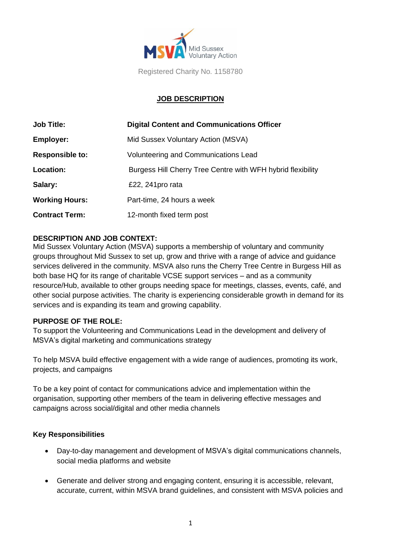

Registered Charity No. 1158780

## **JOB DESCRIPTION**

| <b>Job Title:</b>      | <b>Digital Content and Communications Officer</b>           |  |
|------------------------|-------------------------------------------------------------|--|
| <b>Employer:</b>       | Mid Sussex Voluntary Action (MSVA)                          |  |
| <b>Responsible to:</b> | Volunteering and Communications Lead                        |  |
| Location:              | Burgess Hill Cherry Tree Centre with WFH hybrid flexibility |  |
| Salary:                | £22, 241 pro rata                                           |  |
| <b>Working Hours:</b>  | Part-time, 24 hours a week                                  |  |
| <b>Contract Term:</b>  | 12-month fixed term post                                    |  |

### **DESCRIPTION AND JOB CONTEXT:**

Mid Sussex Voluntary Action (MSVA) supports a membership of voluntary and community groups throughout Mid Sussex to set up, grow and thrive with a range of advice and guidance services delivered in the community. MSVA also runs the Cherry Tree Centre in Burgess Hill as both base HQ for its range of charitable VCSE support services – and as a community resource/Hub, available to other groups needing space for meetings, classes, events, café, and other social purpose activities. The charity is experiencing considerable growth in demand for its services and is expanding its team and growing capability.

#### **PURPOSE OF THE ROLE:**

To support the Volunteering and Communications Lead in the development and delivery of MSVA's digital marketing and communications strategy

To help MSVA build effective engagement with a wide range of audiences, promoting its work, projects, and campaigns

To be a key point of contact for communications advice and implementation within the organisation, supporting other members of the team in delivering effective messages and campaigns across social/digital and other media channels

#### **Key Responsibilities**

- Day-to-day management and development of MSVA's digital communications channels, social media platforms and website
- Generate and deliver strong and engaging content, ensuring it is accessible, relevant, accurate, current, within MSVA brand guidelines, and consistent with MSVA policies and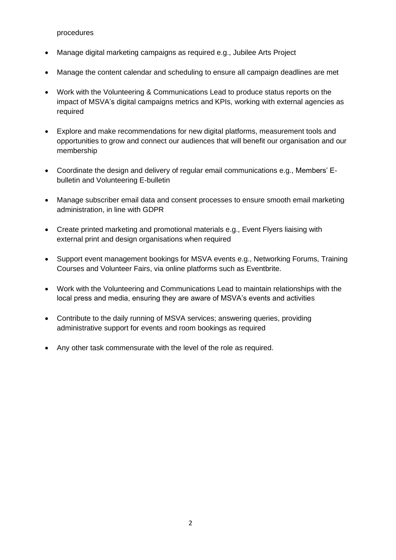procedures

- Manage digital marketing campaigns as required e.g., Jubilee Arts Project
- Manage the content calendar and scheduling to ensure all campaign deadlines are met
- Work with the Volunteering & Communications Lead to produce status reports on the impact of MSVA's digital campaigns metrics and KPIs, working with external agencies as required
- Explore and make recommendations for new digital platforms, measurement tools and opportunities to grow and connect our audiences that will benefit our organisation and our membership
- Coordinate the design and delivery of regular email communications e.g., Members' Ebulletin and Volunteering E-bulletin
- Manage subscriber email data and consent processes to ensure smooth email marketing administration, in line with GDPR
- Create printed marketing and promotional materials e.g., Event Flyers liaising with external print and design organisations when required
- Support event management bookings for MSVA events e.g., Networking Forums, Training Courses and Volunteer Fairs, via online platforms such as Eventbrite.
- Work with the Volunteering and Communications Lead to maintain relationships with the local press and media, ensuring they are aware of MSVA's events and activities
- Contribute to the daily running of MSVA services; answering queries, providing administrative support for events and room bookings as required
- Any other task commensurate with the level of the role as required.